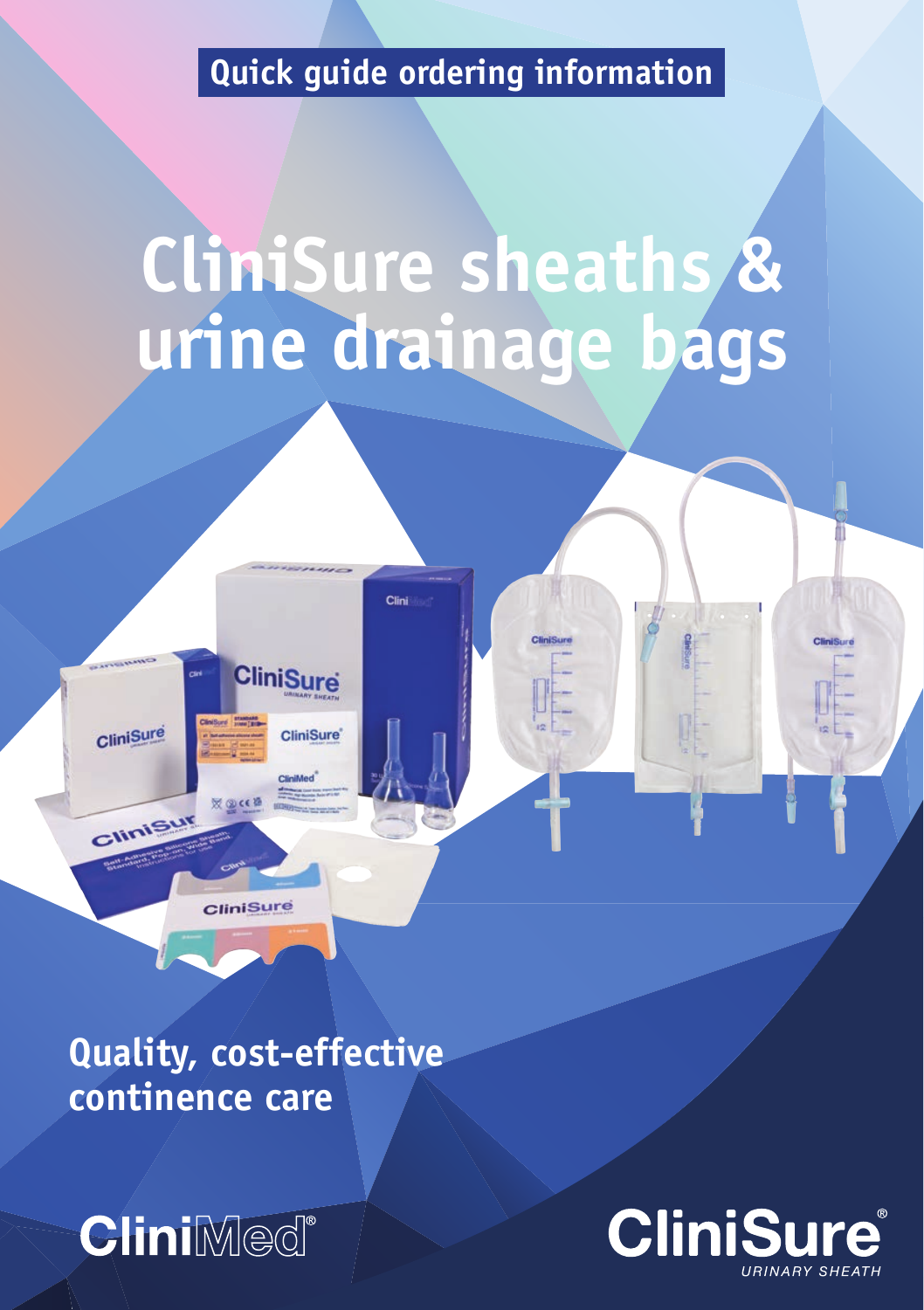# **Quick guide ordering information**

# **CliniSure sheaths & urine drainage bags**

CliniSu

Clini

CliniSure

**XQCEB** 

CliniSure

CliniSur

**CliniSure** 

**CliniSure** 

**Quality, cost-effective continence care**



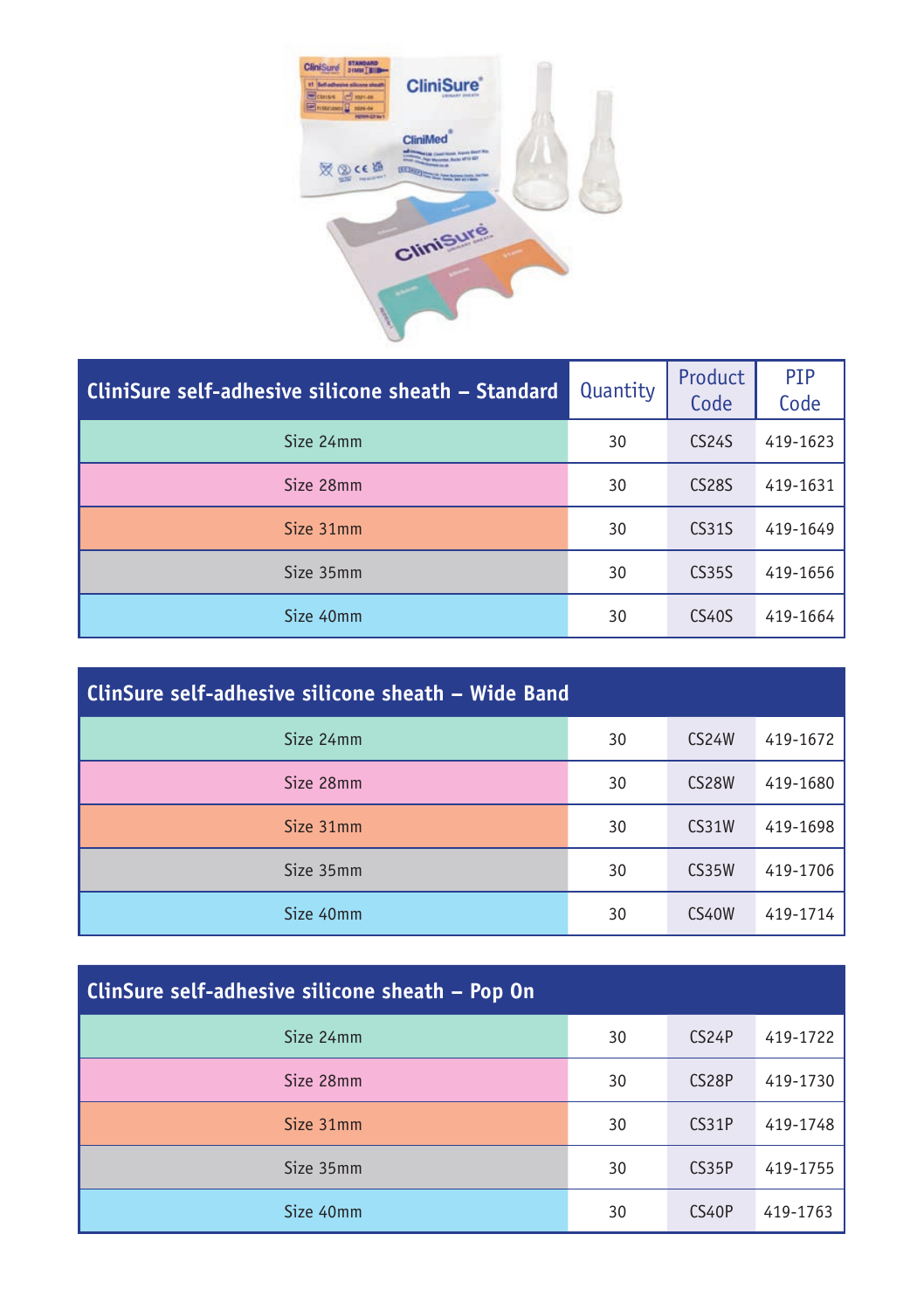

| CliniSure self-adhesive silicone sheath – Standard | Quantity | Product<br>Code | PIP<br>Code |
|----------------------------------------------------|----------|-----------------|-------------|
| Size 24mm                                          | 30       | <b>CS24S</b>    | 419-1623    |
| Size 28mm                                          | 30       | <b>CS28S</b>    | 419-1631    |
| Size 31mm                                          | 30       | <b>CS31S</b>    | 419-1649    |
| Size 35mm                                          | 30       | <b>CS35S</b>    | 419-1656    |
| Size 40mm                                          | 30       | CS40S           | 419-1664    |

| ClinSure self-adhesive silicone sheath – Wide Band |    |                    |          |
|----------------------------------------------------|----|--------------------|----------|
| Size 24mm                                          | 30 | CS <sub>24</sub> W | 419-1672 |
| Size 28mm                                          | 30 | CS <sub>28</sub> W | 419-1680 |
| Size 31mm                                          | 30 | CS31W              | 419-1698 |
| Size 35mm                                          | 30 | CS35W              | 419-1706 |
| Size 40mm                                          | 30 | <b>CS40W</b>       | 419-1714 |

| Size 24mm | 30 | CS <sub>24</sub> P | 419-1722 |
|-----------|----|--------------------|----------|
| Size 28mm | 30 | CS <sub>28</sub> P | 419-1730 |
| Size 31mm | 30 | CS31P              | 419-1748 |
| Size 35mm | 30 | CS35P              | 419-1755 |
| Size 40mm | 30 | <b>CS40P</b>       | 419-1763 |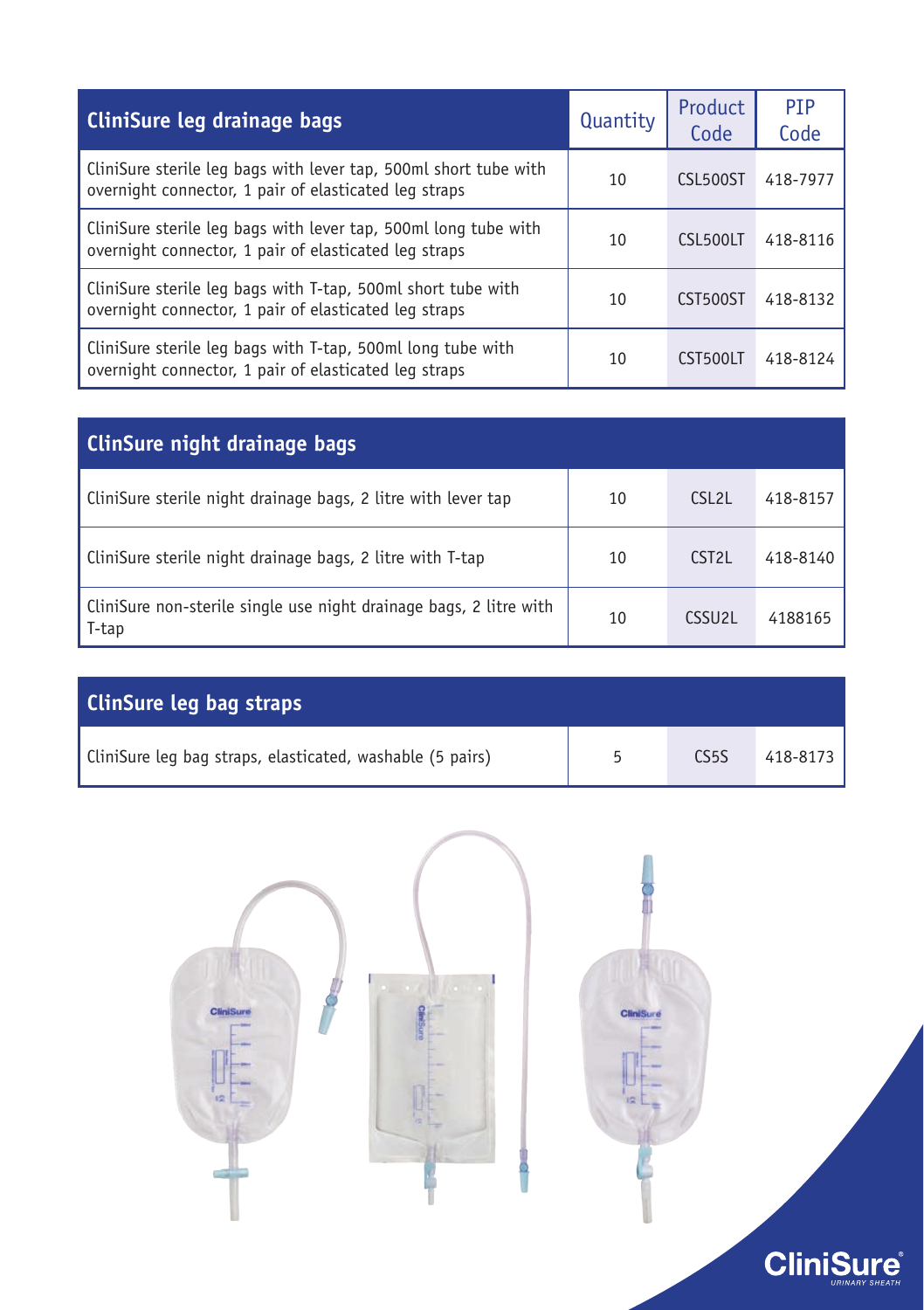| CliniSure leg drainage bags                                                                                               | Quantity | Product<br>Code | <b>PTP</b><br>Code |
|---------------------------------------------------------------------------------------------------------------------------|----------|-----------------|--------------------|
| CliniSure sterile leg bags with lever tap, 500ml short tube with<br>overnight connector, 1 pair of elasticated leg straps | 10       | <b>CSL500ST</b> | 418-7977           |
| CliniSure sterile leg bags with lever tap, 500ml long tube with<br>overnight connector, 1 pair of elasticated leg straps  | 10       | CSL500LT        | 418-8116           |
| CliniSure sterile leg bags with T-tap, 500ml short tube with<br>overnight connector, 1 pair of elasticated leg straps     | 10       | CST500ST        | 418-8132           |
| CliniSure sterile leg bags with T-tap, 500ml long tube with<br>overnight connector, 1 pair of elasticated leg straps      | 10       | CST500LT        | 418-8124           |

| <b>ClinSure night drainage bags</b>                                         |    |                     |          |
|-----------------------------------------------------------------------------|----|---------------------|----------|
| CliniSure sterile night drainage bags, 2 litre with lever tap               | 10 | CSL <sub>2</sub> L  | 418-8157 |
| CliniSure sterile night drainage bags, 2 litre with T-tap                   | 10 | CST <sub>2</sub> L  | 418-8140 |
| CliniSure non-sterile single use night drainage bags, 2 litre with<br>T-tap | 10 | CSSU <sub>2</sub> L | 4188165  |

| <b>ClinSure leg bag straps</b>                            |    |                   |              |
|-----------------------------------------------------------|----|-------------------|--------------|
| CliniSure leg bag straps, elasticated, washable (5 pairs) | г, | CS <sub>5</sub> S | $418 - 8173$ |